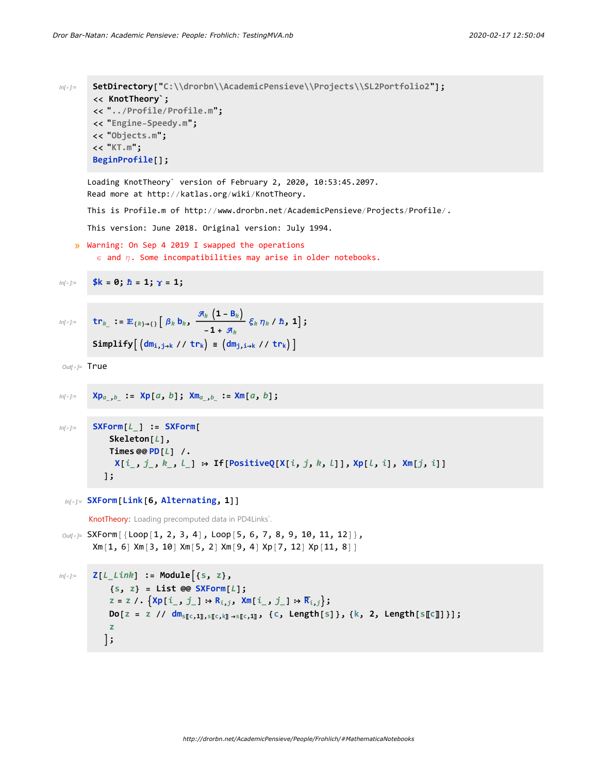```
In[ ]:= SetDirectory["C:\\drorbn\\AcademicPensieve\\Projects\\SL2Portfolio2"];
  << KnotTheory`;
  << "../Profile/Profile.m";
  << "Engine-Speedy.m";
  << "Objects.m";
  << "KT.m";
  BeginProfile[];
 Loading KnotTheory` version of February 2, 2020, 10:53:45.2097.
 Read more at http://katlas.org/wiki/KnotTheory.
This is Profile.m of http://www.drorbn.net/AcademicPensieve/Projects/Profile/.
This version: June 2018. Original version: July 1994.
```

```
» Warning: On Sep 4 2019 I swapped the operations
\epsilon and \eta. Some incompatibilities may arise in older notebooks.
```
In[ ]:= **\$k = 0; ℏ = 1; γ = 1;**

$$
\text{Simplify}\left[\begin{array}{cc} \mathbf{R}_{k} & \mathbf{S}_{k} \end{array}\right] = \mathbf{C}_{k} \mathbf{S}_{k} \mathbf{S}_{k} \mathbf{S}_{k} \mathbf{S}_{k} \mathbf{S}_{k} \mathbf{S}_{k} \mathbf{S}_{k} \mathbf{S}_{k} \mathbf{S}_{k} \mathbf{S}_{k} \mathbf{S}_{k} \mathbf{S}_{k} \mathbf{S}_{k} \mathbf{S}_{k} \mathbf{S}_{k} \mathbf{S}_{k} \mathbf{S}_{k} \mathbf{S}_{k} \mathbf{S}_{k} \mathbf{S}_{k} \mathbf{S}_{k} \mathbf{S}_{k} \mathbf{S}_{k} \mathbf{S}_{k} \mathbf{S}_{k} \mathbf{S}_{k} \mathbf{S}_{k} \mathbf{S}_{k} \mathbf{S}_{k} \mathbf{S}_{k} \mathbf{S}_{k} \mathbf{S}_{k} \mathbf{S}_{k} \mathbf{S}_{k} \mathbf{S}_{k} \mathbf{S}_{k} \mathbf{S}_{k} \mathbf{S}_{k} \mathbf{S}_{k} \mathbf{S}_{k} \mathbf{S}_{k} \mathbf{S}_{k} \mathbf{S}_{k} \mathbf{S}_{k} \mathbf{S}_{k} \mathbf{S}_{k} \mathbf{S}_{k} \mathbf{S}_{k} \mathbf{S}_{k} \mathbf{S}_{k} \mathbf{S}_{k} \mathbf{S}_{k} \mathbf{S}_{k} \mathbf{S}_{k} \mathbf{S}_{k} \mathbf{S}_{k} \mathbf{S}_{k} \mathbf{S}_{k} \mathbf{S}_{k} \mathbf{S}_{k} \mathbf{S}_{k} \mathbf{S}_{k} \mathbf{S}_{k} \mathbf{S}_{k} \mathbf{S}_{k} \mathbf{S}_{k} \mathbf{S}_{k} \mathbf{S}_{k} \mathbf{S}_{k} \mathbf{S}_{k} \mathbf{S}_{k} \mathbf{S}_{k} \mathbf{S}_{k} \mathbf{S}_{k} \mathbf{S}_{k} \mathbf{S}_{k} \mathbf{S}_{k} \mathbf{S}_{k} \mathbf{S}_{k} \mathbf{S}_{k} \mathbf{S}_{k} \mathbf{S}_{k} \mathbf{S}_{k} \mathbf{S}_{k} \mathbf{S}_{k} \mathbf{S}_{k} \mathbf{S}_{k} \mathbf{S}_{k} \mathbf{S}_{k} \
$$

 $Out[ \circ ]=$  True

```
In[ ]:= Xpa_,b_ := Xp[a, b]; Xma_,b_ := Xm[a, b];
```

```
In[ ]:= SXForm[L_] := SXForm[
      Skeleton[L],
      Times @@ PD[L] /.
       X[i_1, j_2, k_3, l_1] \rightarrow If [PositiveQ[X[i, j, k, l]], Xp[l, i], Xm[j, i]]
     ];
```

```
In[ ]:= SXForm[Link[6, Alternating, 1]]
```
KnotTheory: Loading precomputed data in PD4Links`.

```
Out[ ]= SXForm [{Loop[1, 2, 3, 4], Loop[5, 6, 7, 8, 9, 10, 11, 12] },
 Xm[1, 6] Xm[3, 10] Xm[5, 2] Xm[9, 4] Xp[7, 12] Xp[11, 8]]
```

```
In[ ]:= Z[L_Link] := Module{s, z},
         {s, z} = List @@ SXForm[L];
         Z = Z /. \{ \text{Xp}[i_-, j_-] \rightarrow R_{i,j}, \text{Xm}[i_-, j_-] \rightarrow R_{i,j} \};Do[z = z // dm_{s[[c,1]],s[[c,k]]\rightarrow s[[c,1]]}, {c, Length[s]}, {k, 2, Length[s[[c]]}];
         z
       ;
```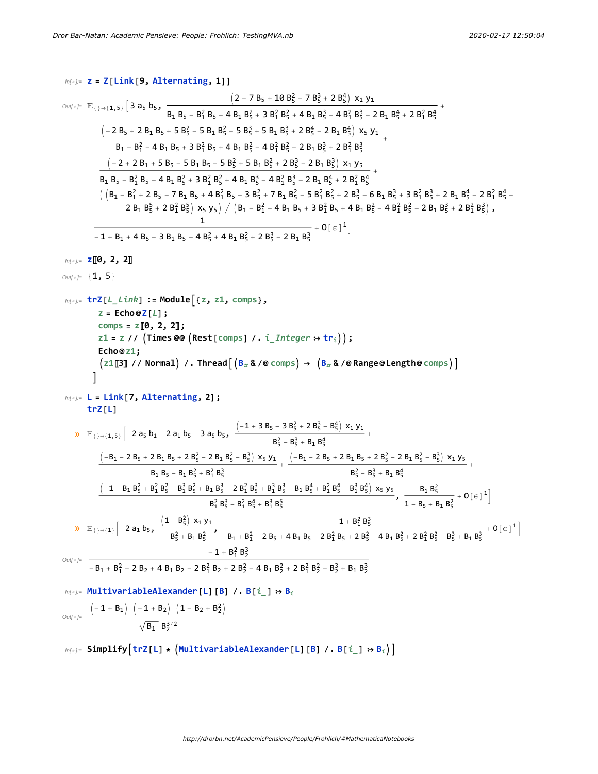$$
N(f)=\frac{1}{2}[3+26]\left[3a, b_5,\frac{1}{8_1B_5-b_5^2}+10\frac{1}{2}-7B_5^2+2B_5^4\right]x_1y_3
$$
\n
$$
N(f)=\frac{1}{2}[3+26]\left[3a, b_5,\frac{1}{8_1B_5-b_5^2}+10\frac{1}{2}\left[3+2B_5^2\right]2+2B_5^2\right]x_1y_3
$$
\n
$$
\frac{(2-7B_5+10B_5^2-7B_5^3+2B_5^4)\left[3+2B_5^2\right]2+2B_5^4\left[3+2B_5^2\right]2+2B_5^4\left[3+2B_5^2\right]2+2B_5^4\left[3+2B_5^2\right]2+2B_5^4\left[3+2B_5^2\right]2+2B_5^4\left[3+2B_5^2\right]2+2B_5^4\left[3+2B_5^2\right]2+2B_5^4\left[3+2B_5^2\right]2+2B_5^4\left[3+2B_5^2\right]2+2B_5^4\left[3+2B_5^2\right]2+2B_5^4\left[3+2B_5^2\right]2+2B_5^4\left[3+2B_5^2\right]2+2B_5^4\left[3+2B_5^2\right]2+2B_5^4\left[3+2B_5^2\right]2+2B_5^4\left[3+2B_5^2\right]2+2B_5^4\left[3+2B_5^2\right]2+2B_5^4\left[3+2B_5^2\right]2+2B_5^4\left[3+2B_5^2\right]2+2B_5^4\left[3+2B_5^2\right]2+2B_5^4\left[3+2B_5^2\right]2+2B_5^4\left[3+2B_5^2\right]2+2B_5^3\left[3+2B_5^2\right]2+2B_5^3\left[3+2B_5^2\right]2+2B_5^3\left[3+2B_5^2\right]2+2B_5^3\left[3+2B_5^2\right]2+2B_5^3\left[3+2B
$$